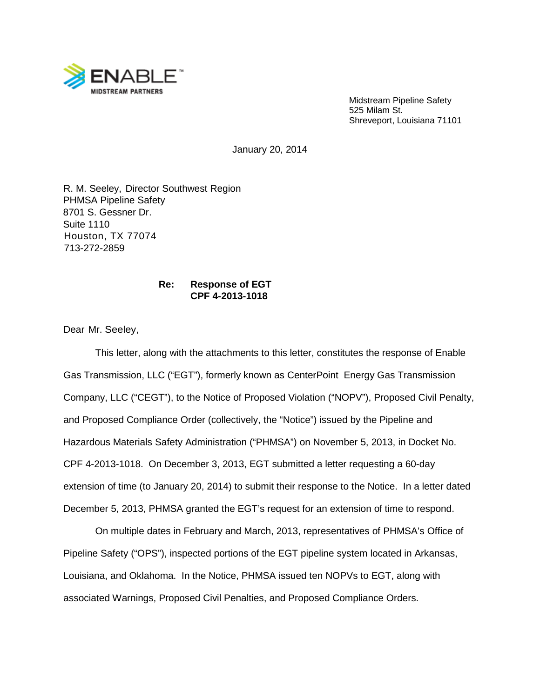

Midstream Pipeline Safety 525 Milam St. Shreveport, Louisiana 71101

January 20, 2014

R. M. Seeley, Director Southwest Region PHMSA Pipeline Safety 8701 S. Gessner Dr. Suite 1110 Houston, TX 77074 713-272-2859

## **Re: Response of EGT CPF 4-2013-1018**

Dear Mr. Seeley,

This letter, along with the attachments to this letter, constitutes the response of Enable Gas Transmission, LLC ("EGT"), formerly known as CenterPoint Energy Gas Transmission Company, LLC ("CEGT"), to the Notice of Proposed Violation ("NOPV"), Proposed Civil Penalty, and Proposed Compliance Order (collectively, the "Notice") issued by the Pipeline and Hazardous Materials Safety Administration ("PHMSA") on November 5, 2013, in Docket No. CPF 4-2013-1018. On December 3, 2013, EGT submitted a letter requesting a 60-day extension of time (to January 20, 2014) to submit their response to the Notice. In a letter dated December 5, 2013, PHMSA granted the EGT's request for an extension of time to respond.

On multiple dates in February and March, 2013, representatives of PHMSA's Office of Pipeline Safety ("OPS"), inspected portions of the EGT pipeline system located in Arkansas, Louisiana, and Oklahoma. In the Notice, PHMSA issued ten NOPVs to EGT, along with associated Warnings, Proposed Civil Penalties, and Proposed Compliance Orders.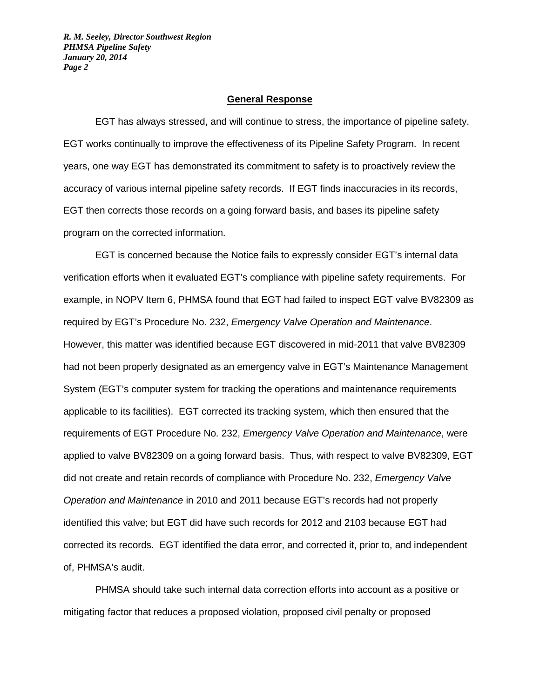#### **General Response**

EGT has always stressed, and will continue to stress, the importance of pipeline safety. EGT works continually to improve the effectiveness of its Pipeline Safety Program. In recent years, one way EGT has demonstrated its commitment to safety is to proactively review the accuracy of various internal pipeline safety records. If EGT finds inaccuracies in its records, EGT then corrects those records on a going forward basis, and bases its pipeline safety program on the corrected information.

EGT is concerned because the Notice fails to expressly consider EGT's internal data verification efforts when it evaluated EGT's compliance with pipeline safety requirements. For example, in NOPV Item 6, PHMSA found that EGT had failed to inspect EGT valve BV82309 as required by EGT's Procedure No. 232, *Emergency Valve Operation and Maintenance*. However, this matter was identified because EGT discovered in mid-2011 that valve BV82309 had not been properly designated as an emergency valve in EGT's Maintenance Management System (EGT's computer system for tracking the operations and maintenance requirements applicable to its facilities). EGT corrected its tracking system, which then ensured that the requirements of EGT Procedure No. 232, *Emergency Valve Operation and Maintenance*, were applied to valve BV82309 on a going forward basis. Thus, with respect to valve BV82309, EGT did not create and retain records of compliance with Procedure No. 232, *Emergency Valve Operation and Maintenance* in 2010 and 2011 because EGT's records had not properly identified this valve; but EGT did have such records for 2012 and 2103 because EGT had corrected its records. EGT identified the data error, and corrected it, prior to, and independent of, PHMSA's audit.

PHMSA should take such internal data correction efforts into account as a positive or mitigating factor that reduces a proposed violation, proposed civil penalty or proposed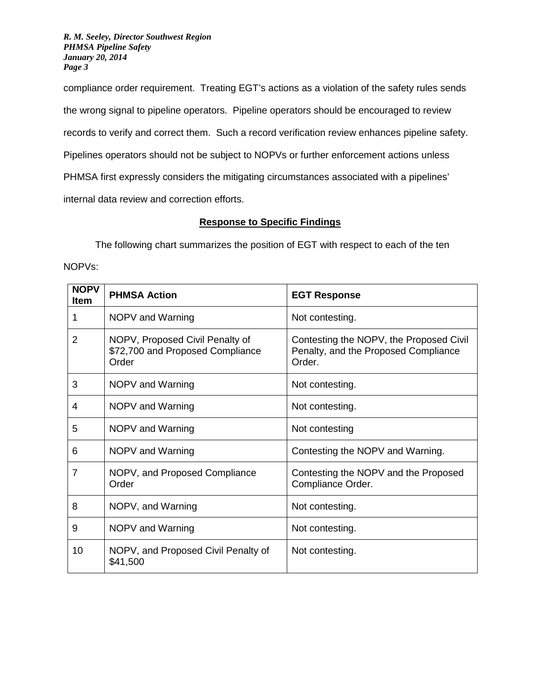compliance order requirement. Treating EGT's actions as a violation of the safety rules sends the wrong signal to pipeline operators. Pipeline operators should be encouraged to review records to verify and correct them. Such a record verification review enhances pipeline safety. Pipelines operators should not be subject to NOPVs or further enforcement actions unless PHMSA first expressly considers the mitigating circumstances associated with a pipelines' internal data review and correction efforts.

# **Response to Specific Findings**

The following chart summarizes the position of EGT with respect to each of the ten NOPVs:

| <b>NOPV</b><br><b>Item</b> | <b>PHMSA Action</b>                                                          | <b>EGT Response</b>                                                                       |
|----------------------------|------------------------------------------------------------------------------|-------------------------------------------------------------------------------------------|
| 1                          | NOPV and Warning                                                             | Not contesting.                                                                           |
| $\overline{2}$             | NOPV, Proposed Civil Penalty of<br>\$72,700 and Proposed Compliance<br>Order | Contesting the NOPV, the Proposed Civil<br>Penalty, and the Proposed Compliance<br>Order. |
| 3                          | NOPV and Warning                                                             | Not contesting.                                                                           |
| 4                          | NOPV and Warning                                                             | Not contesting.                                                                           |
| 5                          | NOPV and Warning                                                             | Not contesting                                                                            |
| 6                          | NOPV and Warning                                                             | Contesting the NOPV and Warning.                                                          |
| $\overline{7}$             | NOPV, and Proposed Compliance<br>Order                                       | Contesting the NOPV and the Proposed<br>Compliance Order.                                 |
| 8                          | NOPV, and Warning                                                            | Not contesting.                                                                           |
| 9                          | NOPV and Warning                                                             | Not contesting.                                                                           |
| 10                         | NOPV, and Proposed Civil Penalty of<br>\$41,500                              | Not contesting.                                                                           |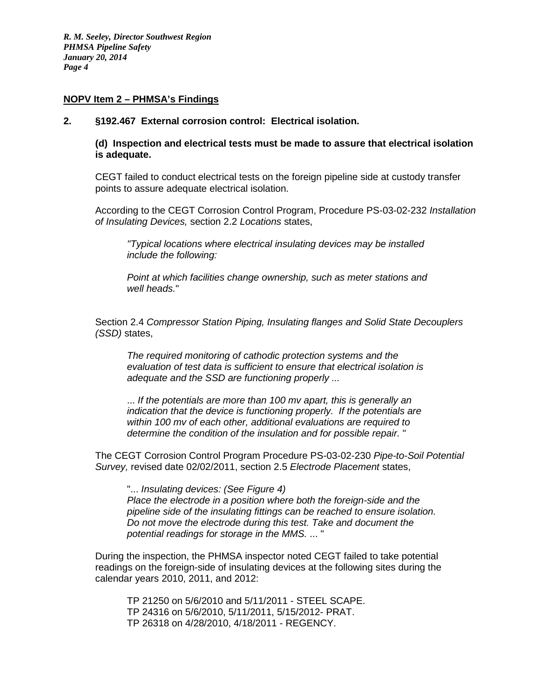## **NOPV Item 2 – PHMSA's Findings**

#### **2. §192.467 External corrosion control: Electrical isolation.**

**(d) Inspection and electrical tests must be made to assure that electrical isolation is adequate.**

CEGT failed to conduct electrical tests on the foreign pipeline side at custody transfer points to assure adequate electrical isolation.

According to the CEGT Corrosion Control Program, Procedure PS-03-02-232 *Installation of Insulating Devices,* section 2.2 *Locations* states,

*"Typical locations where electrical insulating devices may be installed include the following:*

*Point at which facilities change ownership, such as meter stations and well heads.*"

Section 2.4 *Compressor Station Piping, Insulating flanges and Solid State Decouplers (SSD)* states,

*The required monitoring of cathodic protection systems and the evaluation of test data is sufficient to ensure that electrical isolation is adequate and the SSD are functioning properly ...*

... *If the potentials are more than 100 mv apart, this is generally an indication that the device is functioning properly. If the potentials are within 100 mv of each other, additional evaluations are required to determine the condition of the insulation and for possible repair.* "

The CEGT Corrosion Control Program Procedure PS-03-02-230 *Pipe-to-Soil Potential Survey,* revised date 02/02/2011, section 2.5 *Electrode Placement* states,

"... *Insulating devices: (See Figure 4) Place the electrode in a position where both the foreign-side and the pipeline side of the insulating fittings can be reached to ensure isolation. Do not move the electrode during this test. Take and document the potential readings for storage in the MMS.* ... "

During the inspection, the PHMSA inspector noted CEGT failed to take potential readings on the foreign-side of insulating devices at the following sites during the calendar years 2010, 2011, and 2012:

TP 21250 on 5/6/2010 and 5/11/2011 - STEEL SCAPE. TP 24316 on 5/6/2010, 5/11/2011, 5/15/2012- PRAT. TP 26318 on 4/28/2010, 4/18/2011 - REGENCY.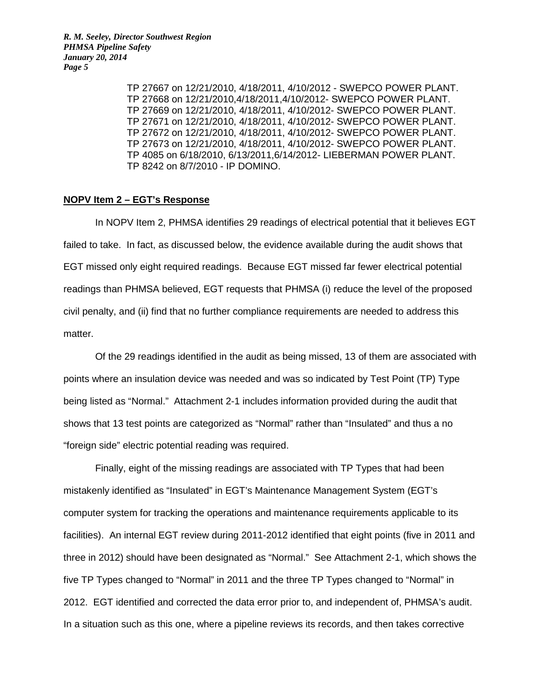> TP 27667 on 12/21/2010, 4/18/2011, 4/10/2012 - SWEPCO POWER PLANT. TP 27668 on 12/21/2010,4/18/2011,4/10/2012- SWEPCO POWER PLANT. TP 27669 on 12/21/2010, 4/18/2011, 4/10/2012- SWEPCO POWER PLANT. TP 27671 on 12/21/2010, 4/18/2011, 4/10/2012- SWEPCO POWER PLANT. TP 27672 on 12/21/2010, 4/18/2011, 4/10/2012- SWEPCO POWER PLANT. TP 27673 on 12/21/2010, 4/18/2011, 4/10/2012- SWEPCO POWER PLANT. TP 4085 on 6/18/2010, 6/13/2011,6/14/2012- LIEBERMAN POWER PLANT. TP 8242 on 8/7/2010 - IP DOMINO.

#### **NOPV Item 2 – EGT's Response**

In NOPV Item 2, PHMSA identifies 29 readings of electrical potential that it believes EGT failed to take. In fact, as discussed below, the evidence available during the audit shows that EGT missed only eight required readings. Because EGT missed far fewer electrical potential readings than PHMSA believed, EGT requests that PHMSA (i) reduce the level of the proposed civil penalty, and (ii) find that no further compliance requirements are needed to address this matter.

Of the 29 readings identified in the audit as being missed, 13 of them are associated with points where an insulation device was needed and was so indicated by Test Point (TP) Type being listed as "Normal." Attachment 2-1 includes information provided during the audit that shows that 13 test points are categorized as "Normal" rather than "Insulated" and thus a no "foreign side" electric potential reading was required.

Finally, eight of the missing readings are associated with TP Types that had been mistakenly identified as "Insulated" in EGT's Maintenance Management System (EGT's computer system for tracking the operations and maintenance requirements applicable to its facilities). An internal EGT review during 2011-2012 identified that eight points (five in 2011 and three in 2012) should have been designated as "Normal." See Attachment 2-1, which shows the five TP Types changed to "Normal" in 2011 and the three TP Types changed to "Normal" in 2012. EGT identified and corrected the data error prior to, and independent of, PHMSA's audit. In a situation such as this one, where a pipeline reviews its records, and then takes corrective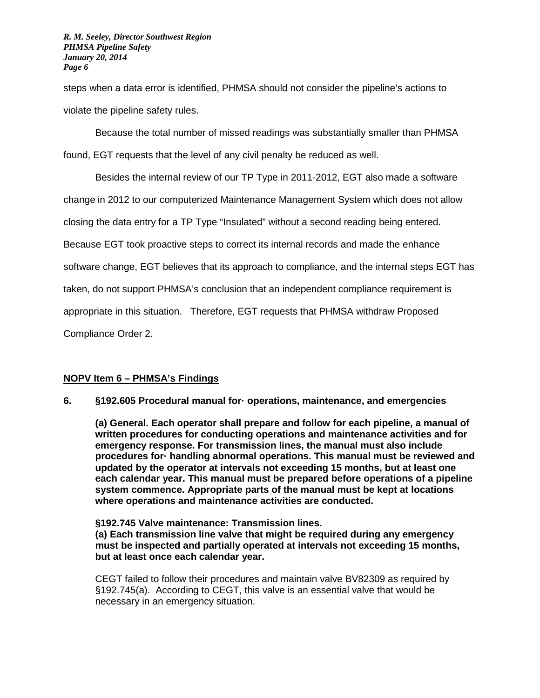steps when a data error is identified, PHMSA should not consider the pipeline's actions to violate the pipeline safety rules.

Because the total number of missed readings was substantially smaller than PHMSA found, EGT requests that the level of any civil penalty be reduced as well.

Besides the internal review of our TP Type in 2011-2012, EGT also made a software change in 2012 to our computerized Maintenance Management System which does not allow closing the data entry for a TP Type "Insulated" without a second reading being entered. Because EGT took proactive steps to correct its internal records and made the enhance software change, EGT believes that its approach to compliance, and the internal steps EGT has taken, do not support PHMSA's conclusion that an independent compliance requirement is appropriate in this situation. Therefore, EGT requests that PHMSA withdraw Proposed Compliance Order 2.

## **NOPV Item 6 – PHMSA's Findings**

## **6. §192.605 Procedural manual for· operations, maintenance, and emergencies**

**(a) General. Each operator shall prepare and follow for each pipeline, a manual of written procedures for conducting operations and maintenance activities and for emergency response. For transmission lines, the manual must also include procedures for· handling abnormal operations. This manual must be reviewed and updated by the operator at intervals not exceeding 15 months, but at least one each calendar year. This manual must be prepared before operations of a pipeline system commence. Appropriate parts of the manual must be kept at locations where operations and maintenance activities are conducted.**

**§192.745 Valve maintenance: Transmission lines. (a) Each transmission line valve that might be required during any emergency must be inspected and partially operated at intervals not exceeding 15 months, but at least once each calendar year.** 

CEGT failed to follow their procedures and maintain valve BV82309 as required by §192.745(a). According to CEGT, this valve is an essential valve that would be necessary in an emergency situation.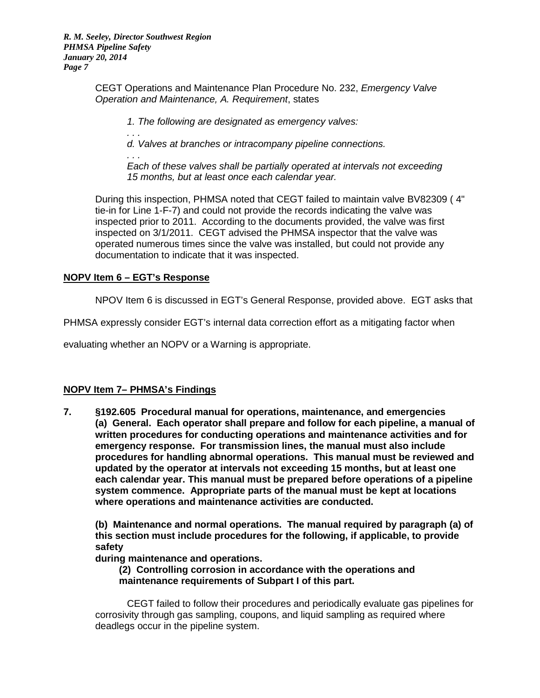*. . .*

CEGT Operations and Maintenance Plan Procedure No. 232, *Emergency Valve Operation and Maintenance, A. Requirement*, states

*1. The following are designated as emergency valves:*

*d. Valves at branches or intracompany pipeline connections.*

*. . . Each of these valves shall be partially operated at intervals not exceeding 15 months, but at least once each calendar year.*

During this inspection, PHMSA noted that CEGT failed to maintain valve BV82309 ( 4" tie-in for Line 1-F-7) and could not provide the records indicating the valve was inspected prior to 2011. According to the documents provided, the valve was first inspected on 3/1/2011. CEGT advised the PHMSA inspector that the valve was operated numerous times since the valve was installed, but could not provide any documentation to indicate that it was inspected.

## **NOPV Item 6 – EGT's Response**

NPOV Item 6 is discussed in EGT's General Response, provided above. EGT asks that

PHMSA expressly consider EGT's internal data correction effort as a mitigating factor when

evaluating whether an NOPV or a Warning is appropriate.

## **NOPV Item 7– PHMSA's Findings**

**7. §192.605 Procedural manual for operations, maintenance, and emergencies (a) General. Each operator shall prepare and follow for each pipeline, a manual of written procedures for conducting operations and maintenance activities and for emergency response. For transmission lines, the manual must also include procedures for handling abnormal operations. This manual must be reviewed and updated by the operator at intervals not exceeding 15 months, but at least one each calendar year. This manual must be prepared before operations of a pipeline system commence. Appropriate parts of the manual must be kept at locations where operations and maintenance activities are conducted.**

**(b) Maintenance and normal operations. The manual required by paragraph (a) of this section must include procedures for the following, if applicable, to provide safety**

**during maintenance and operations.**

**(2) Controlling corrosion in accordance with the operations and maintenance requirements of Subpart I of this part.**

CEGT failed to follow their procedures and periodically evaluate gas pipelines for corrosivity through gas sampling, coupons, and liquid sampling as required where deadlegs occur in the pipeline system.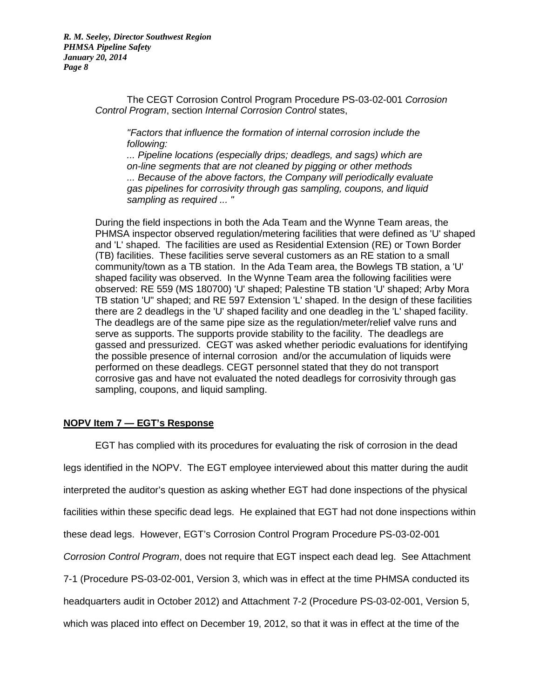> The CEGT Corrosion Control Program Procedure PS-03-02-001 *Corrosion Control Program*, section *Internal Corrosion Control* states,

*"Factors that influence the formation of internal corrosion include the following:*

*... Pipeline locations (especially drips; deadlegs, and sags) which are on-line segments that are not cleaned by pigging or other methods ... Because of the above factors, the Company will periodically evaluate gas pipelines for corrosivity through gas sampling, coupons, and liquid sampling as required ... "*

During the field inspections in both the Ada Team and the Wynne Team areas, the PHMSA inspector observed regulation/metering facilities that were defined as 'U' shaped and 'L' shaped. The facilities are used as Residential Extension (RE) or Town Border (TB) facilities. These facilities serve several customers as an RE station to a small community/town as a TB station. In the Ada Team area, the Bowlegs TB station, a 'U' shaped facility was observed. In the Wynne Team area the following facilities were observed: RE 559 (MS 180700) 'U' shaped; Palestine TB station 'U' shaped; Arby Mora TB station 'U" shaped; and RE 597 Extension 'L' shaped. In the design of these facilities there are 2 deadlegs in the 'U' shaped facility and one deadleg in the 'L' shaped facility. The deadlegs are of the same pipe size as the regulation/meter/relief valve runs and serve as supports. The supports provide stability to the facility. The deadlegs are gassed and pressurized. CEGT was asked whether periodic evaluations for identifying the possible presence of internal corrosion and/or the accumulation of liquids were performed on these deadlegs. CEGT personnel stated that they do not transport corrosive gas and have not evaluated the noted deadlegs for corrosivity through gas sampling, coupons, and liquid sampling.

## **NOPV Item 7 — EGT's Response**

EGT has complied with its procedures for evaluating the risk of corrosion in the dead legs identified in the NOPV. The EGT employee interviewed about this matter during the audit interpreted the auditor's question as asking whether EGT had done inspections of the physical facilities within these specific dead legs. He explained that EGT had not done inspections within these dead legs. However, EGT's Corrosion Control Program Procedure PS-03-02-001 *Corrosion Control Program*, does not require that EGT inspect each dead leg. See Attachment 7-1 (Procedure PS-03-02-001, Version 3, which was in effect at the time PHMSA conducted its headquarters audit in October 2012) and Attachment 7-2 (Procedure PS-03-02-001, Version 5, which was placed into effect on December 19, 2012, so that it was in effect at the time of the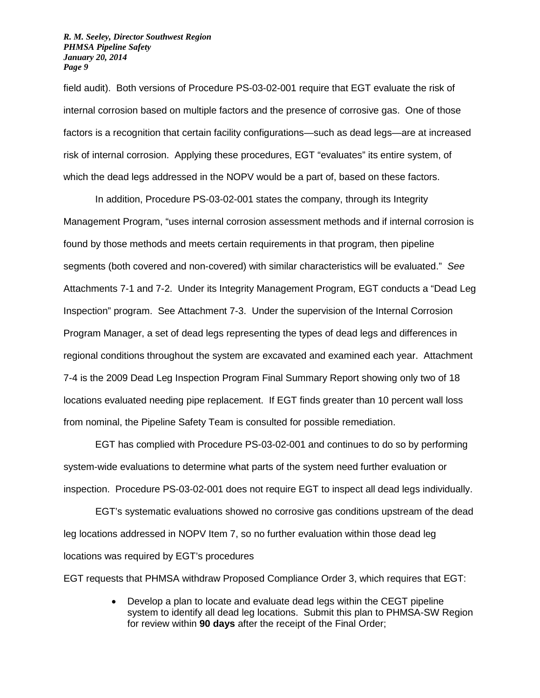field audit). Both versions of Procedure PS-03-02-001 require that EGT evaluate the risk of internal corrosion based on multiple factors and the presence of corrosive gas. One of those factors is a recognition that certain facility configurations—such as dead legs—are at increased risk of internal corrosion. Applying these procedures, EGT "evaluates" its entire system, of which the dead legs addressed in the NOPV would be a part of, based on these factors.

In addition, Procedure PS-03-02-001 states the company, through its Integrity Management Program, "uses internal corrosion assessment methods and if internal corrosion is found by those methods and meets certain requirements in that program, then pipeline segments (both covered and non-covered) with similar characteristics will be evaluated." *See* Attachments 7-1 and 7-2. Under its Integrity Management Program, EGT conducts a "Dead Leg Inspection" program. See Attachment 7-3. Under the supervision of the Internal Corrosion Program Manager, a set of dead legs representing the types of dead legs and differences in regional conditions throughout the system are excavated and examined each year. Attachment 7-4 is the 2009 Dead Leg Inspection Program Final Summary Report showing only two of 18 locations evaluated needing pipe replacement. If EGT finds greater than 10 percent wall loss from nominal, the Pipeline Safety Team is consulted for possible remediation.

EGT has complied with Procedure PS-03-02-001 and continues to do so by performing system-wide evaluations to determine what parts of the system need further evaluation or inspection. Procedure PS-03-02-001 does not require EGT to inspect all dead legs individually.

EGT's systematic evaluations showed no corrosive gas conditions upstream of the dead leg locations addressed in NOPV Item 7, so no further evaluation within those dead leg locations was required by EGT's procedures

EGT requests that PHMSA withdraw Proposed Compliance Order 3, which requires that EGT:

• Develop a plan to locate and evaluate dead legs within the CEGT pipeline system to identify all dead leg locations. Submit this plan to PHMSA-SW Region for review within **90 days** after the receipt of the Final Order;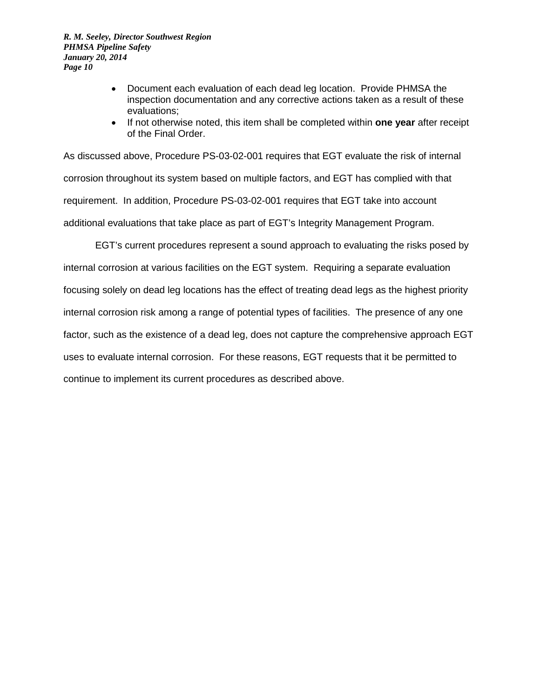- Document each evaluation of each dead leg location. Provide PHMSA the inspection documentation and any corrective actions taken as a result of these evaluations;
- If not otherwise noted, this item shall be completed within **one year** after receipt of the Final Order.

As discussed above, Procedure PS-03-02-001 requires that EGT evaluate the risk of internal corrosion throughout its system based on multiple factors, and EGT has complied with that requirement. In addition, Procedure PS-03-02-001 requires that EGT take into account additional evaluations that take place as part of EGT's Integrity Management Program.

EGT's current procedures represent a sound approach to evaluating the risks posed by internal corrosion at various facilities on the EGT system. Requiring a separate evaluation focusing solely on dead leg locations has the effect of treating dead legs as the highest priority internal corrosion risk among a range of potential types of facilities. The presence of any one factor, such as the existence of a dead leg, does not capture the comprehensive approach EGT uses to evaluate internal corrosion. For these reasons, EGT requests that it be permitted to continue to implement its current procedures as described above.